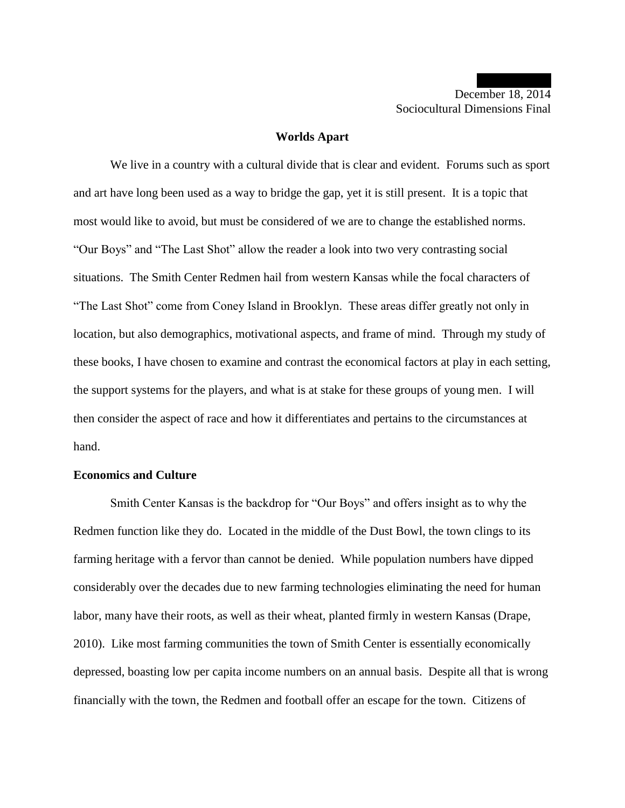### **Worlds Apart**

We live in a country with a cultural divide that is clear and evident. Forums such as sport and art have long been used as a way to bridge the gap, yet it is still present. It is a topic that most would like to avoid, but must be considered of we are to change the established norms. "Our Boys" and "The Last Shot" allow the reader a look into two very contrasting social situations. The Smith Center Redmen hail from western Kansas while the focal characters of "The Last Shot" come from Coney Island in Brooklyn. These areas differ greatly not only in location, but also demographics, motivational aspects, and frame of mind. Through my study of these books, I have chosen to examine and contrast the economical factors at play in each setting, the support systems for the players, and what is at stake for these groups of young men. I will then consider the aspect of race and how it differentiates and pertains to the circumstances at hand.

## **Economics and Culture**

Smith Center Kansas is the backdrop for "Our Boys" and offers insight as to why the Redmen function like they do. Located in the middle of the Dust Bowl, the town clings to its farming heritage with a fervor than cannot be denied. While population numbers have dipped considerably over the decades due to new farming technologies eliminating the need for human labor, many have their roots, as well as their wheat, planted firmly in western Kansas (Drape, 2010). Like most farming communities the town of Smith Center is essentially economically depressed, boasting low per capita income numbers on an annual basis. Despite all that is wrong financially with the town, the Redmen and football offer an escape for the town. Citizens of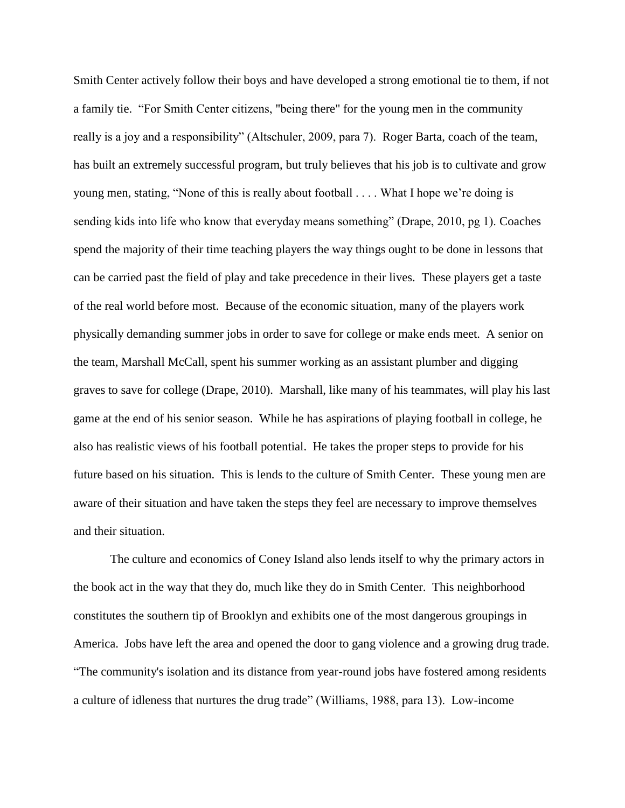Smith Center actively follow their boys and have developed a strong emotional tie to them, if not a family tie. "For Smith Center citizens, "being there" for the young men in the community really is a joy and a responsibility" (Altschuler, 2009, para 7). Roger Barta, coach of the team, has built an extremely successful program, but truly believes that his job is to cultivate and grow young men, stating, "None of this is really about football . . . . What I hope we're doing is sending kids into life who know that everyday means something" (Drape, 2010, pg 1). Coaches spend the majority of their time teaching players the way things ought to be done in lessons that can be carried past the field of play and take precedence in their lives. These players get a taste of the real world before most. Because of the economic situation, many of the players work physically demanding summer jobs in order to save for college or make ends meet. A senior on the team, Marshall McCall, spent his summer working as an assistant plumber and digging graves to save for college (Drape, 2010). Marshall, like many of his teammates, will play his last game at the end of his senior season. While he has aspirations of playing football in college, he also has realistic views of his football potential. He takes the proper steps to provide for his future based on his situation. This is lends to the culture of Smith Center. These young men are aware of their situation and have taken the steps they feel are necessary to improve themselves and their situation.

The culture and economics of Coney Island also lends itself to why the primary actors in the book act in the way that they do, much like they do in Smith Center. This neighborhood constitutes the southern tip of Brooklyn and exhibits one of the most dangerous groupings in America. Jobs have left the area and opened the door to gang violence and a growing drug trade. "The community's isolation and its distance from year-round jobs have fostered among residents a culture of idleness that nurtures the drug trade" (Williams, 1988, para 13). Low-income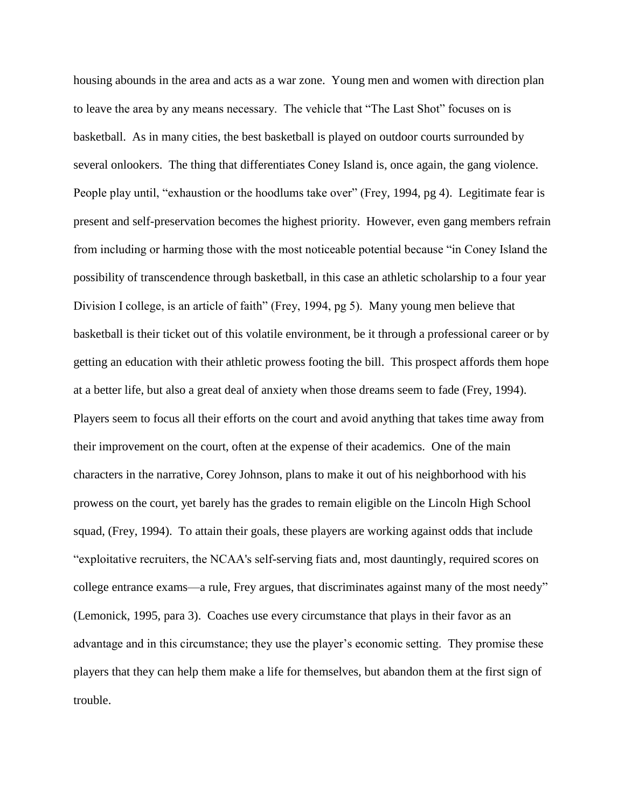housing abounds in the area and acts as a war zone. Young men and women with direction plan to leave the area by any means necessary. The vehicle that "The Last Shot" focuses on is basketball. As in many cities, the best basketball is played on outdoor courts surrounded by several onlookers. The thing that differentiates Coney Island is, once again, the gang violence. People play until, "exhaustion or the hoodlums take over" (Frey, 1994, pg 4). Legitimate fear is present and self-preservation becomes the highest priority. However, even gang members refrain from including or harming those with the most noticeable potential because "in Coney Island the possibility of transcendence through basketball, in this case an athletic scholarship to a four year Division I college, is an article of faith" (Frey, 1994, pg 5). Many young men believe that basketball is their ticket out of this volatile environment, be it through a professional career or by getting an education with their athletic prowess footing the bill. This prospect affords them hope at a better life, but also a great deal of anxiety when those dreams seem to fade (Frey, 1994). Players seem to focus all their efforts on the court and avoid anything that takes time away from their improvement on the court, often at the expense of their academics. One of the main characters in the narrative, Corey Johnson, plans to make it out of his neighborhood with his prowess on the court, yet barely has the grades to remain eligible on the Lincoln High School squad, (Frey, 1994). To attain their goals, these players are working against odds that include "exploitative recruiters, the NCAA's self-serving fiats and, most dauntingly, required scores on college entrance exams—a rule, Frey argues, that discriminates against many of the most needy" (Lemonick, 1995, para 3). Coaches use every circumstance that plays in their favor as an advantage and in this circumstance; they use the player's economic setting. They promise these players that they can help them make a life for themselves, but abandon them at the first sign of trouble.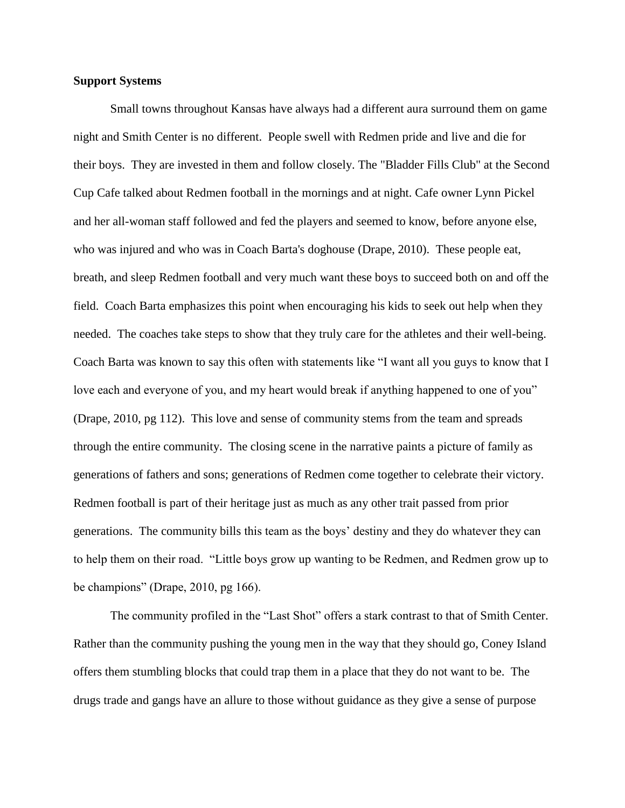# **Support Systems**

Small towns throughout Kansas have always had a different aura surround them on game night and Smith Center is no different. People swell with Redmen pride and live and die for their boys. They are invested in them and follow closely. The "Bladder Fills Club" at the Second Cup Cafe talked about Redmen football in the mornings and at night. Cafe owner Lynn Pickel and her all-woman staff followed and fed the players and seemed to know, before anyone else, who was injured and who was in Coach Barta's doghouse (Drape, 2010). These people eat, breath, and sleep Redmen football and very much want these boys to succeed both on and off the field. Coach Barta emphasizes this point when encouraging his kids to seek out help when they needed. The coaches take steps to show that they truly care for the athletes and their well-being. Coach Barta was known to say this often with statements like "I want all you guys to know that I love each and everyone of you, and my heart would break if anything happened to one of you" (Drape, 2010, pg 112). This love and sense of community stems from the team and spreads through the entire community. The closing scene in the narrative paints a picture of family as generations of fathers and sons; generations of Redmen come together to celebrate their victory. Redmen football is part of their heritage just as much as any other trait passed from prior generations. The community bills this team as the boys' destiny and they do whatever they can to help them on their road. "Little boys grow up wanting to be Redmen, and Redmen grow up to be champions" (Drape, 2010, pg 166).

The community profiled in the "Last Shot" offers a stark contrast to that of Smith Center. Rather than the community pushing the young men in the way that they should go, Coney Island offers them stumbling blocks that could trap them in a place that they do not want to be. The drugs trade and gangs have an allure to those without guidance as they give a sense of purpose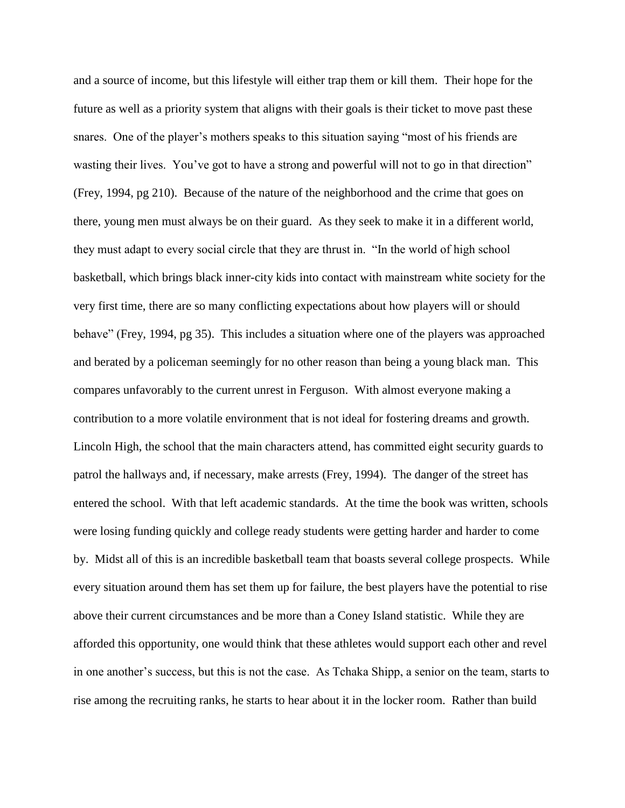and a source of income, but this lifestyle will either trap them or kill them. Their hope for the future as well as a priority system that aligns with their goals is their ticket to move past these snares. One of the player's mothers speaks to this situation saying "most of his friends are wasting their lives. You've got to have a strong and powerful will not to go in that direction" (Frey, 1994, pg 210). Because of the nature of the neighborhood and the crime that goes on there, young men must always be on their guard. As they seek to make it in a different world, they must adapt to every social circle that they are thrust in. "In the world of high school basketball, which brings black inner-city kids into contact with mainstream white society for the very first time, there are so many conflicting expectations about how players will or should behave" (Frey, 1994, pg 35). This includes a situation where one of the players was approached and berated by a policeman seemingly for no other reason than being a young black man. This compares unfavorably to the current unrest in Ferguson. With almost everyone making a contribution to a more volatile environment that is not ideal for fostering dreams and growth. Lincoln High, the school that the main characters attend, has committed eight security guards to patrol the hallways and, if necessary, make arrests (Frey, 1994). The danger of the street has entered the school. With that left academic standards. At the time the book was written, schools were losing funding quickly and college ready students were getting harder and harder to come by. Midst all of this is an incredible basketball team that boasts several college prospects. While every situation around them has set them up for failure, the best players have the potential to rise above their current circumstances and be more than a Coney Island statistic. While they are afforded this opportunity, one would think that these athletes would support each other and revel in one another's success, but this is not the case. As Tchaka Shipp, a senior on the team, starts to rise among the recruiting ranks, he starts to hear about it in the locker room. Rather than build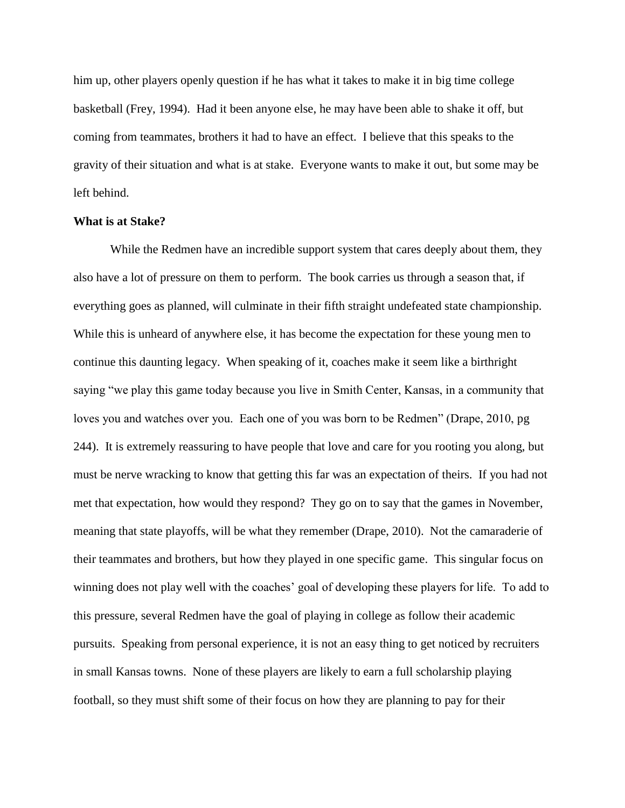him up, other players openly question if he has what it takes to make it in big time college basketball (Frey, 1994). Had it been anyone else, he may have been able to shake it off, but coming from teammates, brothers it had to have an effect. I believe that this speaks to the gravity of their situation and what is at stake. Everyone wants to make it out, but some may be left behind.

## **What is at Stake?**

While the Redmen have an incredible support system that cares deeply about them, they also have a lot of pressure on them to perform. The book carries us through a season that, if everything goes as planned, will culminate in their fifth straight undefeated state championship. While this is unheard of anywhere else, it has become the expectation for these young men to continue this daunting legacy. When speaking of it, coaches make it seem like a birthright saying "we play this game today because you live in Smith Center, Kansas, in a community that loves you and watches over you. Each one of you was born to be Redmen" (Drape, 2010, pg 244). It is extremely reassuring to have people that love and care for you rooting you along, but must be nerve wracking to know that getting this far was an expectation of theirs. If you had not met that expectation, how would they respond? They go on to say that the games in November, meaning that state playoffs, will be what they remember (Drape, 2010). Not the camaraderie of their teammates and brothers, but how they played in one specific game. This singular focus on winning does not play well with the coaches' goal of developing these players for life. To add to this pressure, several Redmen have the goal of playing in college as follow their academic pursuits. Speaking from personal experience, it is not an easy thing to get noticed by recruiters in small Kansas towns. None of these players are likely to earn a full scholarship playing football, so they must shift some of their focus on how they are planning to pay for their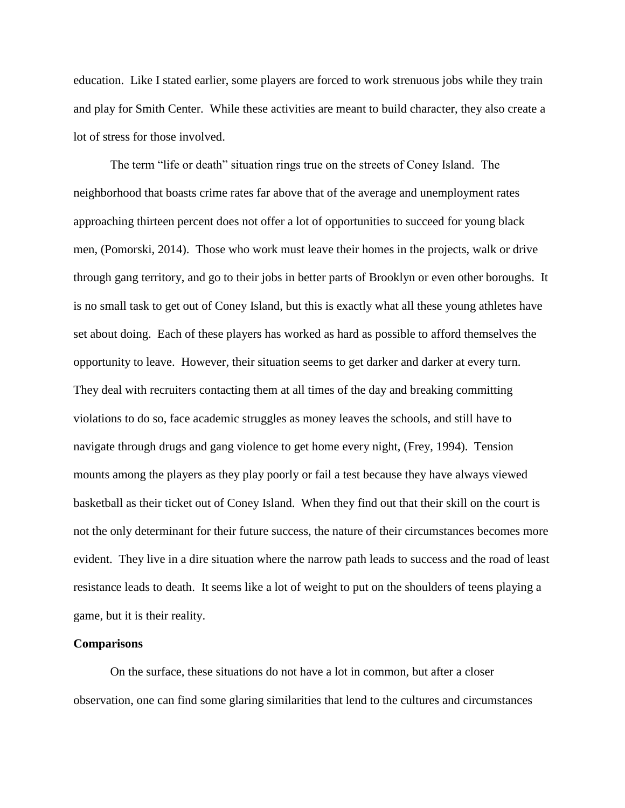education. Like I stated earlier, some players are forced to work strenuous jobs while they train and play for Smith Center. While these activities are meant to build character, they also create a lot of stress for those involved.

The term "life or death" situation rings true on the streets of Coney Island. The neighborhood that boasts crime rates far above that of the average and unemployment rates approaching thirteen percent does not offer a lot of opportunities to succeed for young black men, (Pomorski, 2014). Those who work must leave their homes in the projects, walk or drive through gang territory, and go to their jobs in better parts of Brooklyn or even other boroughs. It is no small task to get out of Coney Island, but this is exactly what all these young athletes have set about doing. Each of these players has worked as hard as possible to afford themselves the opportunity to leave. However, their situation seems to get darker and darker at every turn. They deal with recruiters contacting them at all times of the day and breaking committing violations to do so, face academic struggles as money leaves the schools, and still have to navigate through drugs and gang violence to get home every night, (Frey, 1994). Tension mounts among the players as they play poorly or fail a test because they have always viewed basketball as their ticket out of Coney Island. When they find out that their skill on the court is not the only determinant for their future success, the nature of their circumstances becomes more evident. They live in a dire situation where the narrow path leads to success and the road of least resistance leads to death. It seems like a lot of weight to put on the shoulders of teens playing a game, but it is their reality.

### **Comparisons**

On the surface, these situations do not have a lot in common, but after a closer observation, one can find some glaring similarities that lend to the cultures and circumstances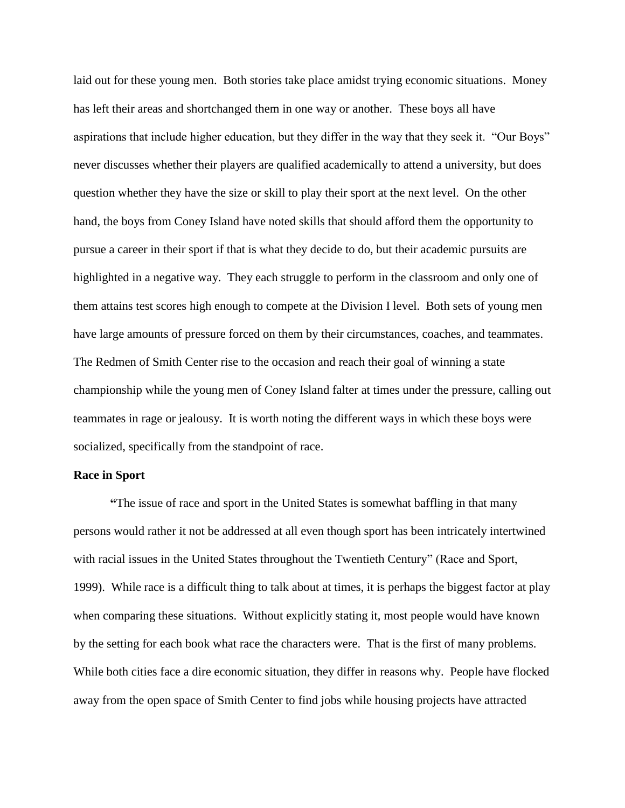laid out for these young men. Both stories take place amidst trying economic situations. Money has left their areas and shortchanged them in one way or another. These boys all have aspirations that include higher education, but they differ in the way that they seek it. "Our Boys" never discusses whether their players are qualified academically to attend a university, but does question whether they have the size or skill to play their sport at the next level. On the other hand, the boys from Coney Island have noted skills that should afford them the opportunity to pursue a career in their sport if that is what they decide to do, but their academic pursuits are highlighted in a negative way. They each struggle to perform in the classroom and only one of them attains test scores high enough to compete at the Division I level. Both sets of young men have large amounts of pressure forced on them by their circumstances, coaches, and teammates. The Redmen of Smith Center rise to the occasion and reach their goal of winning a state championship while the young men of Coney Island falter at times under the pressure, calling out teammates in rage or jealousy. It is worth noting the different ways in which these boys were socialized, specifically from the standpoint of race.

# **Race in Sport**

**"**The issue of race and sport in the United States is somewhat baffling in that many persons would rather it not be addressed at all even though sport has been intricately intertwined with racial issues in the United States throughout the Twentieth Century" (Race and Sport, 1999). While race is a difficult thing to talk about at times, it is perhaps the biggest factor at play when comparing these situations. Without explicitly stating it, most people would have known by the setting for each book what race the characters were. That is the first of many problems. While both cities face a dire economic situation, they differ in reasons why. People have flocked away from the open space of Smith Center to find jobs while housing projects have attracted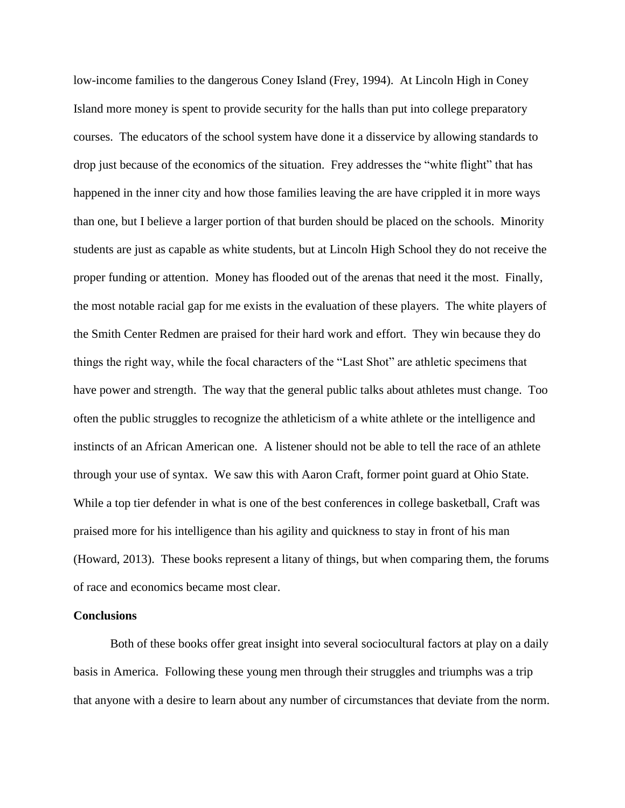low-income families to the dangerous Coney Island (Frey, 1994). At Lincoln High in Coney Island more money is spent to provide security for the halls than put into college preparatory courses. The educators of the school system have done it a disservice by allowing standards to drop just because of the economics of the situation. Frey addresses the "white flight" that has happened in the inner city and how those families leaving the are have crippled it in more ways than one, but I believe a larger portion of that burden should be placed on the schools. Minority students are just as capable as white students, but at Lincoln High School they do not receive the proper funding or attention. Money has flooded out of the arenas that need it the most. Finally, the most notable racial gap for me exists in the evaluation of these players. The white players of the Smith Center Redmen are praised for their hard work and effort. They win because they do things the right way, while the focal characters of the "Last Shot" are athletic specimens that have power and strength. The way that the general public talks about athletes must change. Too often the public struggles to recognize the athleticism of a white athlete or the intelligence and instincts of an African American one. A listener should not be able to tell the race of an athlete through your use of syntax. We saw this with Aaron Craft, former point guard at Ohio State. While a top tier defender in what is one of the best conferences in college basketball, Craft was praised more for his intelligence than his agility and quickness to stay in front of his man (Howard, 2013). These books represent a litany of things, but when comparing them, the forums of race and economics became most clear.

## **Conclusions**

Both of these books offer great insight into several sociocultural factors at play on a daily basis in America. Following these young men through their struggles and triumphs was a trip that anyone with a desire to learn about any number of circumstances that deviate from the norm.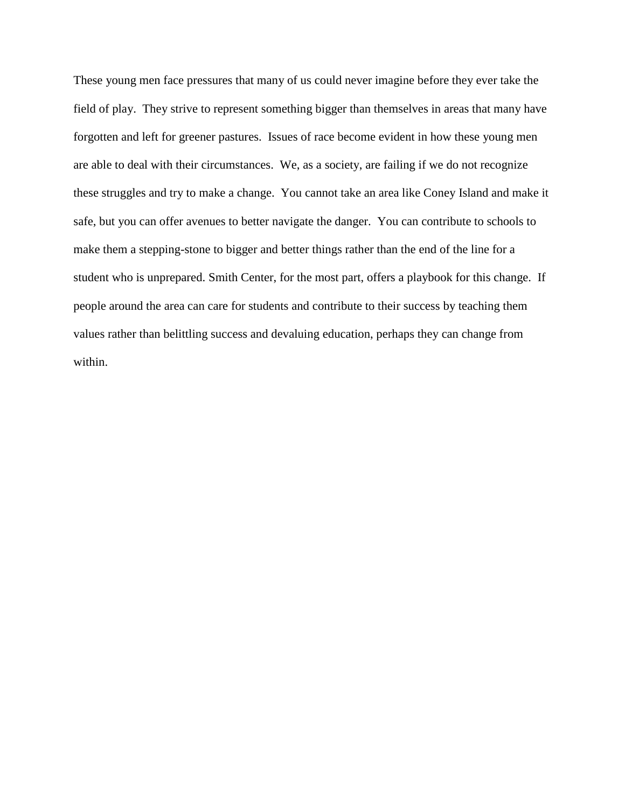These young men face pressures that many of us could never imagine before they ever take the field of play. They strive to represent something bigger than themselves in areas that many have forgotten and left for greener pastures. Issues of race become evident in how these young men are able to deal with their circumstances. We, as a society, are failing if we do not recognize these struggles and try to make a change. You cannot take an area like Coney Island and make it safe, but you can offer avenues to better navigate the danger. You can contribute to schools to make them a stepping-stone to bigger and better things rather than the end of the line for a student who is unprepared. Smith Center, for the most part, offers a playbook for this change. If people around the area can care for students and contribute to their success by teaching them values rather than belittling success and devaluing education, perhaps they can change from within.